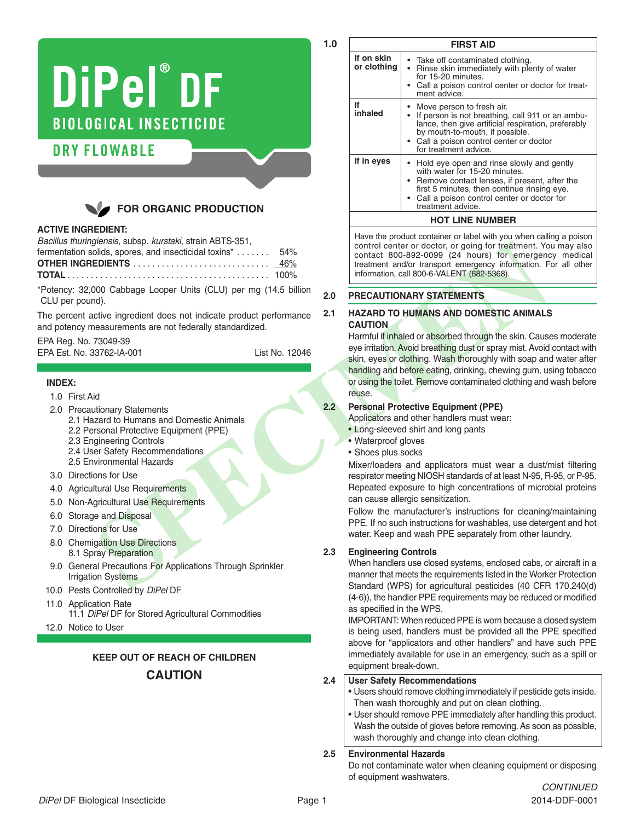# DiPel®DF **BIOLOGICAL INSECTICIDE**

# **DRY FLOWABLE**



# **ACTIVE INGREDIENT:**

| Bacillus thuringiensis, subsp. kurstaki, strain ABTS-351, |     |
|-----------------------------------------------------------|-----|
| fermentation solids, spores, and insecticidal toxins*     | 54% |

\*Potency: 32,000 Cabbage Looper Units (CLU) per mg (14.5 billion CLU per pound).

The percent active ingredient does not indicate product performance and potency measurements are not federally standardized.

EPA Reg. No. 73049-39

| EPA Est. No. 33762-IA-001 | List No. 12046 |
|---------------------------|----------------|
|                           |                |

# **INDEX:**

- 1.0 First Aid
- 2.0 Precautionary Statements
	- 2.1 Hazard to Humans and Domestic Animals 2.2 Personal Protective Equipment (PPE)
	- 2.3 Engineering Controls
	- 2.4 User Safety Recommendations 2.5 Environmental Hazards
- 
- 3.0 Directions for Use
- 4.0 Agricultural Use Requirements
- 5.0 Non-Agricultural Use Requirements
- 6.0 Storage and Disposal
- 7.0 Directions for Use
- 8.0 Chemigation Use Directions 8.1 Spray Preparation
- 9.0 General Precautions For Applications Through Sprinkler Irrigation Systems
- 10.0 Pests Controlled by *DiPel* DF
- 11.0 Application Rate 11.1 *DiPel* DF for Stored Agricultural Commodities
- 12.0 Notice to User

# **KEEP OUT OF REACH OF CHILDREN**

# **CAUTION**

|                           | <b>FIRST AID</b>                                                                                                                                                                                                                                   |
|---------------------------|----------------------------------------------------------------------------------------------------------------------------------------------------------------------------------------------------------------------------------------------------|
| If on skin<br>or clothing | • Take off contaminated clothing.<br>• Rinse skin immediately with plenty of water<br>for 15-20 minutes<br>• Call a poison control center or doctor for treat-<br>ment advice.                                                                     |
| lf<br>inhaled             | • Move person to fresh air.<br>If person is not breathing, call 911 or an ambu-<br>lance, then give artificial respiration, preferably<br>by mouth-to-mouth, if possible.<br>• Call a poison control center or doctor<br>for treatment advice.     |
| If in eyes                | • Hold eye open and rinse slowly and gently<br>with water for 15-20 minutes.<br>• Remove contact lenses, if present, after the<br>first 5 minutes, then continue rinsing eye.<br>• Call a poison control center or doctor for<br>treatment advice. |
| <b>HOT LINE NUMBER</b>    |                                                                                                                                                                                                                                                    |

Have the product container or label with you when calling a poison control center or doctor, or going for treatment. You may also contact 800-892-0099 (24 hours) for emergency medical treatment and/or transport emergency information. For all other information, call 800-6-VALENT (682-5368).

#### **2.0 PRECAUTIONARY STATEMENTS**

**1.0**

# **2.1 HAZARD TO HUMANS AND DOMESTIC ANIMALS CAUTION**

University and species and need to the species of the special density and the special density and the special density and the special density and the special density and the special density and the special of the special d Harmful if inhaled or absorbed through the skin. Causes moderate eye irritation. Avoid breathing dust or spray mist. Avoid contact with skin, eyes or clothing. Wash thoroughly with soap and water after handling and before eating, drinking, chewing gum, using tobacco or using the toilet. Remove contaminated clothing and wash before reuse.

# **2.2 Personal Protective Equipment (PPE)**

Applicators and other handlers must wear:

- Long-sleeved shirt and long pants
- Waterproof gloves
- Shoes plus socks

Mixer/loaders and applicators must wear a dust/mist filtering respirator meeting NIOSH standards of at least N-95, R-95, or P-95. Repeated exposure to high concentrations of microbial proteins can cause allergic sensitization.

Follow the manufacturer's instructions for cleaning/maintaining PPE. If no such instructions for washables, use detergent and hot water. Keep and wash PPE separately from other laundry.

# **2.3 Engineering Controls**

When handlers use closed systems, enclosed cabs, or aircraft in a manner that meets the requirements listed in the Worker Protection Standard (WPS) for agricultural pesticides (40 CFR 170.240(d) (4-6)), the handler PPE requirements may be reduced or modified as specified in the WPS.

IMPORTANT: When reduced PPE is worn because a closed system is being used, handlers must be provided all the PPE specified above for "applicators and other handlers" and have such PPE immediately available for use in an emergency, such as a spill or equipment break-down.

# **2.4 User Safety Recommendations**

- Users should remove clothing immediately if pesticide gets inside. Then wash thoroughly and put on clean clothing.
- User should remove PPE immediately after handling this product. Wash the outside of gloves before removing. As soon as possible, wash thoroughly and change into clean clothing.

# **2.5 Environmental Hazards**

Do not contaminate water when cleaning equipment or disposing of equipment washwaters.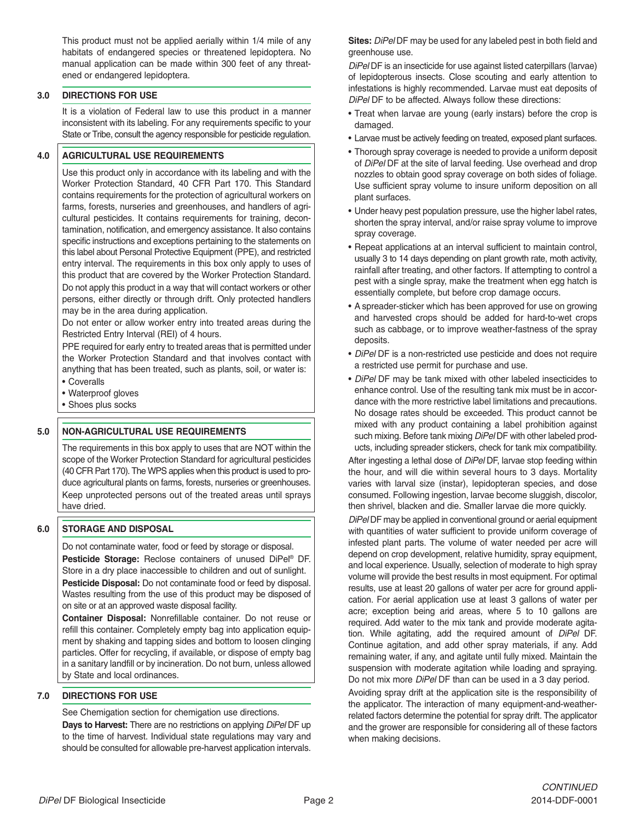This product must not be applied aerially within 1/4 mile of any habitats of endangered species or threatened lepidoptera. No manual application can be made within 300 feet of any threatened or endangered lepidoptera.

#### **3.0 DIRECTIONS FOR USE**

It is a violation of Federal law to use this product in a manner inconsistent with its labeling. For any requirements specific to your State or Tribe, consult the agency responsible for pesticide regulation.

#### **4.0 AGRICULTURAL USE REQUIREMENTS**

Use this product only in accordance with its labeling and with the Worker Protection Standard, 40 CFR Part 170. This Standard contains requirements for the protection of agricultural workers on farms, forests, nurseries and greenhouses, and handlers of agricultural pesticides. It contains requirements for training, decontamination, notification, and emergency assistance. It also contains specific instructions and exceptions pertaining to the statements on this label about Personal Protective Equipment (PPE), and restricted entry interval. The requirements in this box only apply to uses of this product that are covered by the Worker Protection Standard. Do not apply this product in a way that will contact workers or other persons, either directly or through drift. Only protected handlers may be in the area during application.

Do not enter or allow worker entry into treated areas during the Restricted Entry Interval (REI) of 4 hours.

PPE required for early entry to treated areas that is permitted under the Worker Protection Standard and that involves contact with anything that has been treated, such as plants, soil, or water is:

- Coveralls
- Waterproof gloves
- Shoes plus socks

#### **5.0 NON-AGRICULTURAL USE REQUIREMENTS**

The requirements in this box apply to uses that are NOT within the scope of the Worker Protection Standard for agricultural pesticides (40 CFR Part 170). The WPS applies when this product is used to produce agricultural plants on farms, forests, nurseries or greenhouses. Keep unprotected persons out of the treated areas until sprays have dried.

#### **6.0 STORAGE AND DISPOSAL**

Do not contaminate water, food or feed by storage or disposal. **Pesticide Storage:** Reclose containers of unused DiPel ® DF. Store in a dry place inaccessible to children and out of sunlight. **Pesticide Disposal:** Do not contaminate food or feed by disposal. Wastes resulting from the use of this product may be disposed of on site or at an approved waste disposal facility.

**Container Disposal:** Nonrefillable container. Do not reuse or refill this container. Completely empty bag into application equipment by shaking and tapping sides and bottom to loosen clinging particles. Offer for recycling, if available, or dispose of empty bag in a sanitary landfill or by incineration. Do not burn, unless allowed by State and local ordinances.

#### **7.0 DIRECTIONS FOR USE**

See Chemigation section for chemigation use directions.

**Days to Harvest:** There are no restrictions on applying *DiPel* DF up to the time of harvest. Individual state regulations may vary and should be consulted for allowable pre-harvest application intervals. **Sites:** *DiPel* DF may be used for any labeled pest in both field and greenhouse use.

*DiPel* DF is an insecticide for use against listed caterpillars (larvae) of lepidopterous insects. Close scouting and early attention to infestations is highly recommended. Larvae must eat deposits of *DiPel* DF to be affected. Always follow these directions:

- Treat when larvae are young (early instars) before the crop is damaged.
- Larvae must be actively feeding on treated, exposed plant surfaces.
- Thorough spray coverage is needed to provide a uniform deposit of *DiPel* DF at the site of larval feeding. Use overhead and drop nozzles to obtain good spray coverage on both sides of foliage. Use sufficient spray volume to insure uniform deposition on all plant surfaces.
- Under heavy pest population pressure, use the higher label rates, shorten the spray interval, and/or raise spray volume to improve spray coverage.
- Repeat applications at an interval sufficient to maintain control, usually 3 to 14 days depending on plant growth rate, moth activity, rainfall after treating, and other factors. If attempting to control a pest with a single spray, make the treatment when egg hatch is essentially complete, but before crop damage occurs.
- A spreader-sticker which has been approved for use on growing and harvested crops should be added for hard-to-wet crops such as cabbage, or to improve weather-fastness of the spray deposits.
- *DiPel* DF is a non-restricted use pesticide and does not require a restricted use permit for purchase and use.
- *DiPel* DF may be tank mixed with other labeled insecticides to enhance control. Use of the resulting tank mix must be in accordance with the more restrictive label limitations and precautions. No dosage rates should be exceeded. This product cannot be mixed with any product containing a label prohibition against such mixing. Before tank mixing *DiPel* DF with other labeled products, including spreader stickers, check for tank mix compatibility.

After ingesting a lethal dose of *DiPel* DF, larvae stop feeding within the hour, and will die within several hours to 3 days. Mortality varies with larval size (instar), lepidopteran species, and dose consumed. Following ingestion, larvae become sluggish, discolor, then shrivel, blacken and die. Smaller larvae die more quickly.

*DiPel* DF may be applied in conventional ground or aerial equipment with quantities of water sufficient to provide uniform coverage of infested plant parts. The volume of water needed per acre will depend on crop development, relative humidity, spray equipment, and local experience. Usually, selection of moderate to high spray volume will provide the best results in most equipment. For optimal results, use at least 20 gallons of water per acre for ground application. For aerial application use at least 3 gallons of water per acre; exception being arid areas, where 5 to 10 gallons are required. Add water to the mix tank and provide moderate agitation. While agitating, add the required amount of *DiPel* DF. Continue agitation, and add other spray materials, if any. Add remaining water, if any, and agitate until fully mixed. Maintain the suspension with moderate agitation while loading and spraying. Do not mix more *DiPel* DF than can be used in a 3 day period.

Avoiding spray drift at the application site is the responsibility of the applicator. The interaction of many equipment-and-weatherrelated factors determine the potential for spray drift. The applicator and the grower are responsible for considering all of these factors when making decisions.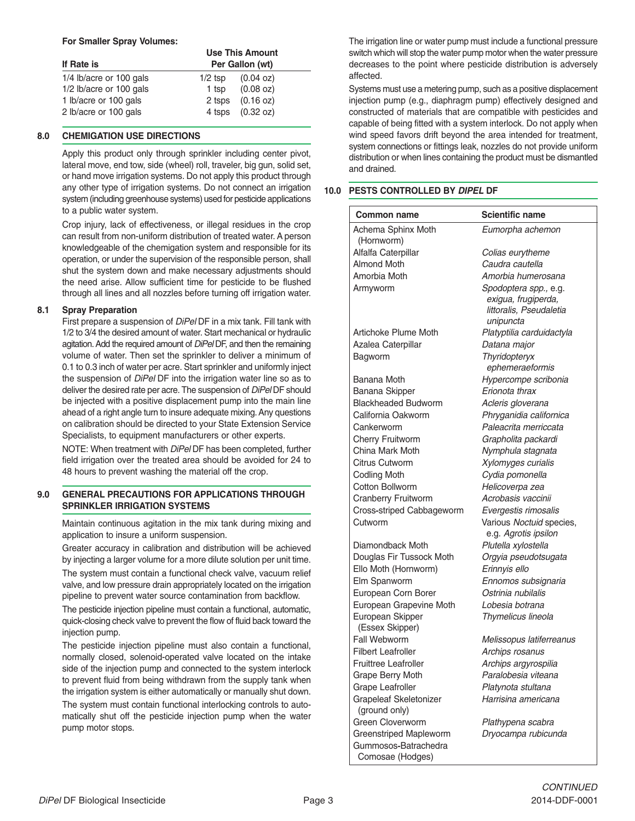#### **For Smaller Spray Volumes:**

| If Rate is              | Use This Amount<br>Per Gallon (wt) |                      |  |
|-------------------------|------------------------------------|----------------------|--|
| 1/4 lb/acre or 100 gals | $1/2$ tsp                          | $(0.04 \text{ oz})$  |  |
| 1/2 lb/acre or 100 gals | 1 tsp                              | (0.08 oz)            |  |
| 1 lb/acre or 100 gals   |                                    | $2$ tsps $(0.16$ oz) |  |
| 2 lb/acre or 100 gals   |                                    | 4 tsps (0.32 oz)     |  |

#### **8.0 CHEMIGATION USE DIRECTIONS**

Apply this product only through sprinkler including center pivot, lateral move, end tow, side (wheel) roll, traveler, big gun, solid set, or hand move irrigation systems. Do not apply this product through any other type of irrigation systems. Do not connect an irrigation system (including greenhouse systems) used for pesticide applications to a public water system.

Crop injury, lack of effectiveness, or illegal residues in the crop can result from non-uniform distribution of treated water. A person knowledgeable of the chemigation system and responsible for its operation, or under the supervision of the responsible person, shall shut the system down and make necessary adjustments should the need arise. Allow sufficient time for pesticide to be flushed through all lines and all nozzles before turning off irrigation water.

#### **8.1 Spray Preparation**

First prepare a suspension of *DiPel* DF in a mix tank. Fill tank with 1/2 to 3/4 the desired amount of water. Start mechanical or hydraulic agitation.Add the required amount of *DiPel* DF, and then the remaining volume of water. Then set the sprinkler to deliver a minimum of 0.1 to 0.3 inch of water per acre. Start sprinkler and uniformly inject the suspension of *DiPel* DF into the irrigation water line so as to deliver the desired rate per acre. The suspension of *DiPel* DF should be injected with a positive displacement pump into the main line ahead of a right angle turn to insure adequate mixing.Any questions on calibration should be directed to your State Extension Service Specialists, to equipment manufacturers or other experts.

NOTE: When treatment with *DiPel* DF has been completed, further field irrigation over the treated area should be avoided for 24 to 48 hours to prevent washing the material off the crop.

#### **9.0 GENERAL PRECAUTIONS FOR APPLICATIONS THROUGH SPRINKLER IRRIGATION SYSTEMS**

Maintain continuous agitation in the mix tank during mixing and application to insure a uniform suspension.

Greater accuracy in calibration and distribution will be achieved by injecting a larger volume for a more dilute solution per unit time.

The system must contain a functional check valve, vacuum relief valve, and low pressure drain appropriately located on the irrigation pipeline to prevent water source contamination from backflow.

The pesticide injection pipeline must contain a functional, automatic, quick-closing check valve to prevent the flow of fluid back toward the injection pump.

The pesticide injection pipeline must also contain a functional, normally closed, solenoid-operated valve located on the intake side of the injection pump and connected to the system interlock to prevent fluid from being withdrawn from the supply tank when the irrigation system is either automatically or manually shut down.

The system must contain functional interlocking controls to automatically shut off the pesticide injection pump when the water pump motor stops.

The irrigation line or water pump must include a functional pressure switch which will stop the water pump motor when the water pressure decreases to the point where pesticide distribution is adversely affected.

Systems must use a metering pump, such as a positive displacement injection pump (e.g., diaphragm pump) effectively designed and constructed of materials that are compatible with pesticides and capable of being fitted with a system interlock. Do not apply when wind speed favors drift beyond the area intended for treatment, system connections or fittings leak, nozzles do not provide uniform distribution or when lines containing the product must be dismantled and drained.

#### **10.0 PESTS CONTROLLED BY** *DIPEL* **DF**

| <b>Common name</b>                             | <b>Scientific name</b>                                                               |
|------------------------------------------------|--------------------------------------------------------------------------------------|
| Achema Sphinx Moth<br>(Hornworm)               | Eumorpha achemon                                                                     |
| Alfalfa Caterpillar                            | Colias eurytheme                                                                     |
| <b>Almond Moth</b>                             | Caudra cautella                                                                      |
| Amorbia Moth                                   | Amorbia humerosana                                                                   |
| Armyworm                                       | Spodoptera spp., e.g.<br>exigua, frugiperda,<br>littoralis, Pseudaletia<br>unipuncta |
| Artichoke Plume Moth                           | Platyptilia carduidactyla                                                            |
| Azalea Caterpillar                             | Datana major                                                                         |
| Bagworm                                        | Thyridopteryx<br>ephemeraeformis                                                     |
| Banana Moth                                    | Hypercompe scribonia                                                                 |
| Banana Skipper                                 | Erionota thrax                                                                       |
| <b>Blackheaded Budworm</b>                     | Acleris gloverana                                                                    |
| California Oakworm                             | Phryganidia californica                                                              |
| Cankerworm                                     | Paleacrita merriccata                                                                |
| Cherry Fruitworm                               | Grapholita packardi                                                                  |
| China Mark Moth                                | Nymphula stagnata                                                                    |
| <b>Citrus Cutworm</b>                          | Xylomyges curialis                                                                   |
| <b>Codling Moth</b>                            | Cydia pomonella                                                                      |
| Cotton Bollworm                                | Helicoverpa zea                                                                      |
| Cranberry Fruitworm                            | Acrobasis vaccinii                                                                   |
| Cross-striped Cabbageworm                      | Evergestis rimosalis                                                                 |
| Cutworm                                        | Various Noctuid species,<br>e.g. Agrotis ipsilon                                     |
| Diamondback Moth                               | Plutella xylostella                                                                  |
| Douglas Fir Tussock Moth                       | Orgyia pseudotsugata                                                                 |
| Ello Moth (Hornworm)                           | Erinnyis ello                                                                        |
| Elm Spanworm                                   | Ennomos subsignaria                                                                  |
| European Corn Borer                            | Ostrinia nubilalis                                                                   |
| European Grapevine Moth                        | Lobesia botrana                                                                      |
| European Skipper<br>(Essex Skipper)            | Thymelicus lineola                                                                   |
| <b>Fall Webworm</b>                            | Melissopus latiferreanus                                                             |
| <b>Filbert Leafroller</b>                      | Archips rosanus                                                                      |
| <b>Fruittree Leafroller</b>                    | Archips argyrospilia                                                                 |
| Grape Berry Moth                               | Paralobesia viteana                                                                  |
| Grape Leafroller                               | Platynota stultana                                                                   |
| <b>Grapeleaf Skeletonizer</b><br>(ground only) | Harrisina americana                                                                  |
| Green Cloverworm                               | Plathypena scabra                                                                    |
| <b>Greenstriped Mapleworm</b>                  | Dryocampa rubicunda                                                                  |

Gummosos**-**Batrachedra Comosae (Hodges)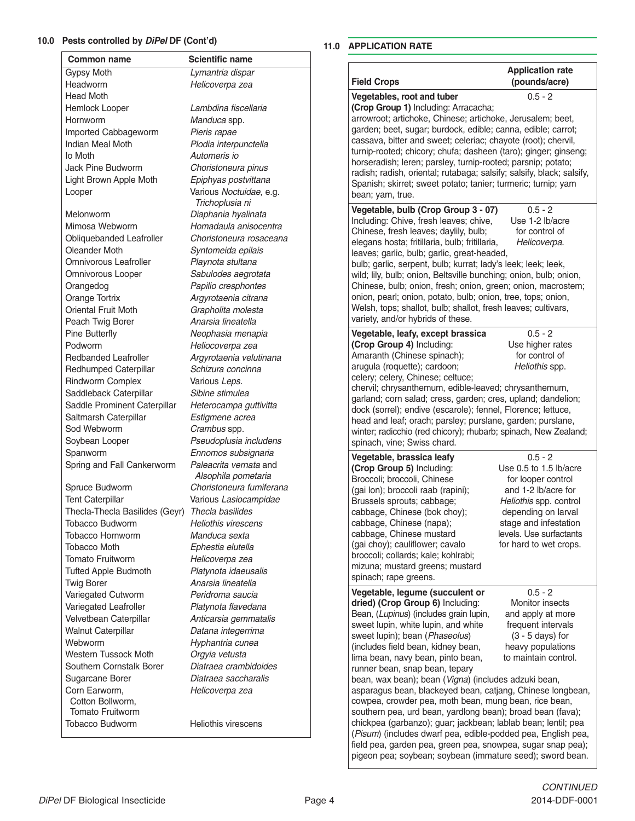#### **10.0 Pests controlled by** *DiPel* **DF (Cont'd)**

| <b>Common name</b>                              | <b>Scientific name</b>                     |                                                                                                |                                           |
|-------------------------------------------------|--------------------------------------------|------------------------------------------------------------------------------------------------|-------------------------------------------|
| Gypsy Moth                                      | Lymantria dispar                           |                                                                                                | <b>Application rate</b>                   |
| Headworm                                        | Helicoverpa zea                            | <b>Field Crops</b>                                                                             | (pounds/acre)                             |
| Head Moth                                       |                                            | Vegetables, root and tuber                                                                     | $0.5 - 2$                                 |
| Hemlock Looper                                  | Lambdina fiscellaria                       | (Crop Group 1) Including: Arracacha;                                                           |                                           |
| Hornworm                                        | Manduca spp.                               | arrowroot; artichoke, Chinese; artichoke, Jerusalem; beet,                                     |                                           |
| Imported Cabbageworm                            | Pieris rapae                               | garden; beet, sugar; burdock, edible; canna, edible; carrot;                                   |                                           |
| Indian Meal Moth                                | Plodia interpunctella                      | cassava, bitter and sweet; celeriac; chayote (root); chervil,                                  |                                           |
| lo Moth                                         | Automeris io                               | turnip-rooted; chicory; chufa; dasheen (taro); ginger; ginseng;                                |                                           |
| Jack Pine Budworm                               | Choristoneura pinus                        | horseradish; leren; parsley, turnip-rooted; parsnip; potato;                                   |                                           |
| Light Brown Apple Moth                          | Epiphyas postvittana                       | radish; radish, oriental; rutabaga; salsify; salsify, black; salsify,                          |                                           |
| Looper                                          | Various Noctuidae, e.g.<br>Trichoplusia ni | Spanish; skirret; sweet potato; tanier; turmeric; turnip; yam<br>bean; yam, true.              |                                           |
| Melonworm                                       | Diaphania hyalinata                        | Vegetable, bulb (Crop Group 3 - 07)                                                            | $0.5 - 2$                                 |
| Mimosa Webworm                                  | Homadaula anisocentra                      | Including: Chive, fresh leaves; chive,                                                         | Use 1-2 lb/acre                           |
| Obliquebanded Leafroller                        | Choristoneura rosaceana                    | Chinese, fresh leaves; daylily, bulb;<br>elegans hosta; fritillaria, bulb; fritillaria,        | for control of<br>Helicoverpa.            |
| Oleander Moth                                   | Syntomeida epilais                         | leaves; garlic, bulb; garlic, great-headed,                                                    |                                           |
| Omnivorous Leafroller                           | Playnota stultana                          | bulb; garlic, serpent, bulb; kurrat; lady's leek; leek; leek,                                  |                                           |
| Omnivorous Looper                               | Sabulodes aegrotata                        | wild; lily, bulb; onion, Beltsville bunching; onion, bulb; onion,                              |                                           |
| Orangedog                                       | Papilio cresphontes                        | Chinese, bulb; onion, fresh; onion, green; onion, macrostem;                                   |                                           |
| Orange Tortrix                                  | Argyrotaenia citrana                       | onion, pearl; onion, potato, bulb; onion, tree, tops; onion,                                   |                                           |
| Oriental Fruit Moth                             | Grapholita molesta                         | Welsh, tops; shallot, bulb; shallot, fresh leaves; cultivars,                                  |                                           |
| Peach Twig Borer                                | Anarsia lineatella                         | variety, and/or hybrids of these.                                                              |                                           |
| Pine Butterfly                                  | Neophasia menapia                          | Vegetable, leafy, except brassica                                                              | $0.5 - 2$                                 |
| Podworm                                         | Heliocoverpa zea                           | (Crop Group 4) Including:                                                                      | Use higher rates                          |
| <b>Redbanded Leafroller</b>                     | Argyrotaenia velutinana                    | Amaranth (Chinese spinach);                                                                    | for control of                            |
| Redhumped Caterpillar                           | Schizura concinna                          | arugula (roquette); cardoon;                                                                   | Heliothis spp.                            |
| <b>Rindworm Complex</b>                         | Various Leps.                              | celery; celery, Chinese; celtuce;                                                              |                                           |
| Saddleback Caterpillar                          | Sibine stimulea                            | chervil; chrysanthemum, edible-leaved; chrysanthemum,                                          |                                           |
| Saddle Prominent Caterpillar                    | Heterocampa guttivitta                     | garland; corn salad; cress, garden; cres, upland; dandelion;                                   |                                           |
| Saltmarsh Caterpillar                           | Estigmene acrea                            | dock (sorrel); endive (escarole); fennel, Florence; lettuce,                                   |                                           |
| Sod Webworm                                     | Crambus spp.                               | head and leaf; orach; parsley; purslane, garden; purslane,                                     |                                           |
| Soybean Looper                                  | Pseudoplusia includens                     | winter; radicchio (red chicory); rhubarb; spinach, New Zealand;<br>spinach, vine; Swiss chard. |                                           |
| Spanworm                                        | Ennomos subsignaria                        |                                                                                                |                                           |
| Spring and Fall Cankerworm                      | Paleacrita vernata and                     | Vegetable, brassica leafy                                                                      | $0.5 - 2$<br>Use 0.5 to 1.5 lb/acre       |
|                                                 | Alsophila pometaria                        | (Crop Group 5) Including:<br>Broccoli; broccoli, Chinese                                       | for looper control                        |
| Spruce Budworm                                  | Choristoneura fumiferana                   | (gai lon); broccoli raab (rapini);                                                             | and 1-2 lb/acre for                       |
| <b>Tent Caterpillar</b>                         | Various Lasiocampidae                      | Brussels sprouts; cabbage;                                                                     | Heliothis spp. control                    |
| Thecla-Thecla Basilides (Geyr) Thecla basilides |                                            | cabbage, Chinese (bok choy);                                                                   | depending on larval                       |
| Tobacco Budworm                                 | Heliothis virescens                        | cabbage, Chinese (napa);                                                                       | stage and infestation                     |
| Tobacco Hornworm                                | Manduca sexta                              | cabbage, Chinese mustard                                                                       | levels. Use surfactants                   |
| <b>Tobacco Moth</b>                             | Ephestia elutella                          | (gai choy); cauliflower; cavalo                                                                | for hard to wet crops.                    |
| <b>Tomato Fruitworm</b>                         | Helicoverpa zea                            | broccoli; collards; kale; kohlrabi;                                                            |                                           |
| <b>Tufted Apple Budmoth</b>                     | Platynota idaeusalis                       | mizuna; mustard greens; mustard                                                                |                                           |
| <b>Twig Borer</b>                               | Anarsia lineatella                         | spinach; rape greens.                                                                          |                                           |
| Variegated Cutworm                              | Peridroma saucia                           | Vegetable, legume (succulent or                                                                | $0.5 - 2$                                 |
| Variegated Leafroller                           | Platynota flavedana                        | dried) (Crop Group 6) Including:                                                               | Monitor insects                           |
| Velvetbean Caterpillar                          | Anticarsia gemmatalis                      | Bean, (Lupinus) (includes grain lupin,                                                         | and apply at more                         |
| Walnut Caterpillar                              | Datana integerrima                         | sweet lupin, white lupin, and white                                                            | frequent intervals                        |
| Webworm                                         | Hyphantria cunea                           | sweet lupin); bean (Phaseolus)                                                                 | $(3 - 5 \text{ days})$ for                |
| Western Tussock Moth                            | Orgyia vetusta                             | (includes field bean, kidney bean,<br>lima bean, navy bean, pinto bean,                        | heavy populations<br>to maintain control. |
| Southern Cornstalk Borer                        | Diatraea crambidoides                      | runner bean, snap bean, tepary                                                                 |                                           |
| Sugarcane Borer                                 | Diatraea saccharalis                       | bean, wax bean); bean (Vigna) (includes adzuki bean,                                           |                                           |
| Corn Earworm,                                   | Helicoverpa zea                            | asparagus bean, blackeyed bean, catjang, Chinese longbean,                                     |                                           |
| Cotton Bollworm,                                |                                            | cowpea, crowder pea, moth bean, mung bean, rice bean,                                          |                                           |
| Tomato Fruitworm                                |                                            | southern pea, urd bean, yardlong bean); broad bean (fava);                                     |                                           |
| Tobacco Budworm                                 | <b>Heliothis virescens</b>                 | chickpea (garbanzo); guar; jackbean; lablab bean; lentil; pea                                  |                                           |
|                                                 |                                            | (Pisum) (includes dwarf pea, edible-podded pea, English pea,                                   |                                           |
|                                                 |                                            | field pea, garden pea, green pea, snowpea, sugar snap pea);                                    |                                           |
|                                                 |                                            | pigeon pea; soybean; soybean (immature seed); sword bean.                                      |                                           |

#### **11.0 APPLICATION RATE**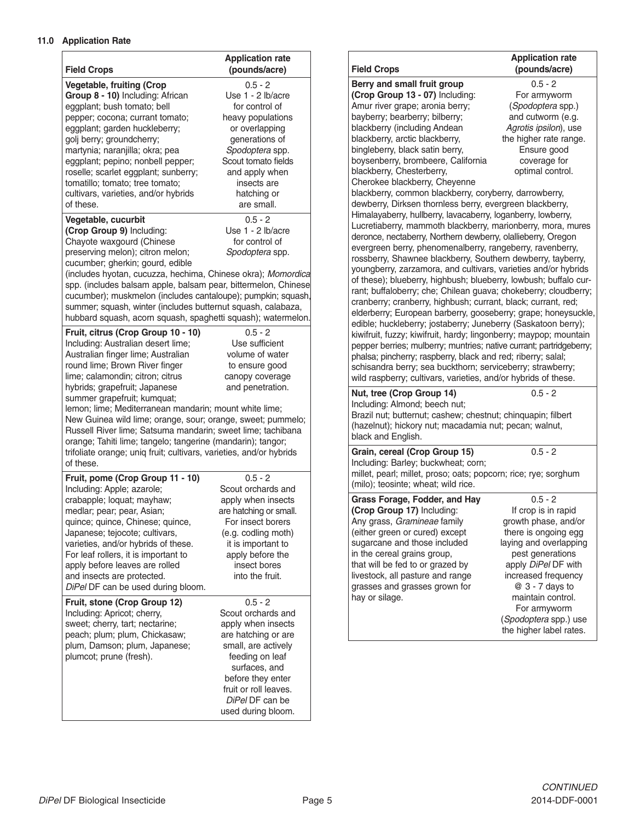# **11.0 Application Rate**

| <b>Field Crops</b>                                                                                                                                                                                                                                                                                                                                                                                                                                                                                                                                                                              | <b>Application rate</b><br>(pounds/acre)                                                                                                                                                                                       |
|-------------------------------------------------------------------------------------------------------------------------------------------------------------------------------------------------------------------------------------------------------------------------------------------------------------------------------------------------------------------------------------------------------------------------------------------------------------------------------------------------------------------------------------------------------------------------------------------------|--------------------------------------------------------------------------------------------------------------------------------------------------------------------------------------------------------------------------------|
| <b>Vegetable, fruiting (Crop</b><br>Group 8 - 10) Including: African<br>eggplant; bush tomato; bell<br>pepper; cocona; currant tomato;<br>eggplant; garden huckleberry;<br>golj berry; groundcherry;<br>martynia; naranjilla; okra; pea<br>eggplant; pepino; nonbell pepper;<br>roselle; scarlet eggplant; sunberry;<br>tomatillo; tomato; tree tomato;<br>cultivars, varieties, and/or hybrids<br>of these.                                                                                                                                                                                    | $0.5 - 2$<br>Use 1 - 2 lb/acre<br>for control of<br>heavy populations<br>or overlapping<br>generations of<br>Spodoptera spp.<br>Scout tomato fields<br>and apply when<br>insects are<br>hatching or<br>are small.              |
| Vegetable, cucurbit<br>(Crop Group 9) Including:<br>Chayote waxgourd (Chinese<br>preserving melon); citron melon;<br>cucumber; gherkin; gourd, edible<br>(includes hyotan, cucuzza, hechima, Chinese okra); Momordica<br>spp. (includes balsam apple, balsam pear, bittermelon, Chinese<br>cucumber); muskmelon (includes cantaloupe); pumpkin; squash,<br>summer; squash, winter (includes butternut squash, calabaza,<br>hubbard squash, acorn squash, spaghetti squash); watermelon.                                                                                                         | $0.5 - 2$<br>Use 1 - 2 lb/acre<br>for control of<br>Spodoptera spp.                                                                                                                                                            |
| Fruit, citrus (Crop Group 10 - 10)<br>Including: Australian desert lime;<br>Australian finger lime; Australian<br>round lime; Brown River finger<br>lime; calamondin; citron; citrus<br>hybrids; grapefruit; Japanese<br>summer grapefruit; kumquat;<br>lemon; lime; Mediterranean mandarin; mount white lime;<br>New Guinea wild lime; orange, sour; orange, sweet; pummelo;<br>Russell River lime; Satsuma mandarin; sweet lime; tachibana<br>orange; Tahiti lime; tangelo; tangerine (mandarin); tangor;<br>trifoliate orange; uniq fruit; cultivars, varieties, and/or hybrids<br>of these. | $0.5 - 2$<br>Use sufficient<br>volume of water<br>to ensure good<br>canopy coverage<br>and penetration.                                                                                                                        |
| Fruit, pome (Crop Group 11 - 10)<br>Including: Apple; azarole;<br>crabapple; loquat; mayhaw;<br>medlar; pear; pear, Asian;<br>quince; quince, Chinese; quince,<br>Japanese; tejocote; cultivars,<br>varieties, and/or hybrids of these.<br>For leaf rollers, it is important to<br>apply before leaves are rolled<br>and insects are protected.<br>DiPel DF can be used during bloom.                                                                                                                                                                                                           | $0.5 - 2$<br>Scout orchards and<br>apply when insects<br>are hatching or small.<br>For insect borers<br>(e.g. codling moth)<br>it is important to<br>apply before the<br>insect bores<br>into the fruit.                       |
| Fruit, stone (Crop Group 12)<br>Including: Apricot; cherry,<br>sweet; cherry, tart; nectarine;<br>peach; plum; plum, Chickasaw;<br>plum, Damson; plum, Japanese;<br>plumcot; prune (fresh).                                                                                                                                                                                                                                                                                                                                                                                                     | $0.5 - 2$<br>Scout orchards and<br>apply when insects<br>are hatching or are<br>small, are actively<br>feeding on leaf<br>surfaces, and<br>before they enter<br>fruit or roll leaves.<br>DiPel DF can be<br>used during bloom. |

| <b>Field Crops</b>                                                                                                                                                                                                                                                                                                                                                                                                                                                                                                                                                                                                                                                                                                                                                                                                                                                                                                                                                                                                                                                                                                                                                                                                                                                                                                                                                                                                                                                                                                                                                                                                                                                                                                                  | <b>Application rate</b><br>(pounds/acre)                                                                                                                                                                                                                                                 |  |  |
|-------------------------------------------------------------------------------------------------------------------------------------------------------------------------------------------------------------------------------------------------------------------------------------------------------------------------------------------------------------------------------------------------------------------------------------------------------------------------------------------------------------------------------------------------------------------------------------------------------------------------------------------------------------------------------------------------------------------------------------------------------------------------------------------------------------------------------------------------------------------------------------------------------------------------------------------------------------------------------------------------------------------------------------------------------------------------------------------------------------------------------------------------------------------------------------------------------------------------------------------------------------------------------------------------------------------------------------------------------------------------------------------------------------------------------------------------------------------------------------------------------------------------------------------------------------------------------------------------------------------------------------------------------------------------------------------------------------------------------------|------------------------------------------------------------------------------------------------------------------------------------------------------------------------------------------------------------------------------------------------------------------------------------------|--|--|
| Berry and small fruit group<br>$0.5 - 2$<br>(Crop Group 13 - 07) Including:<br>For armyworm<br>Amur river grape; aronia berry;<br>(Spodoptera spp.)<br>bayberry; bearberry; bilberry;<br>and cutworm (e.g.<br>blackberry (including Andean<br>Agrotis ipsilon), use<br>blackberry, arctic blackberry,<br>the higher rate range.<br>bingleberry, black satin berry,<br>Ensure good<br>boysenberry, brombeere, California<br>coverage for<br>optimal control.<br>blackberry, Chesterberry,<br>Cherokee blackberry, Cheyenne<br>blackberry, common blackberry, coryberry, darrowberry,<br>dewberry, Dirksen thornless berry, evergreen blackberry,<br>Himalayaberry, hullberry, lavacaberry, loganberry, lowberry,<br>Lucretiaberry, mammoth blackberry, marionberry, mora, mures<br>deronce, nectaberry, Northern dewberry, olallieberry, Oregon<br>evergreen berry, phenomenalberry, rangeberry, ravenberry,<br>rossberry, Shawnee blackberry, Southern dewberry, tayberry,<br>youngberry, zarzamora, and cultivars, varieties and/or hybrids<br>of these); blueberry, highbush; blueberry, lowbush; buffalo cur-<br>rant; buffaloberry; che; Chilean guava; chokeberry; cloudberry;<br>cranberry; cranberry, highbush; currant, black; currant, red;<br>elderberry; European barberry, gooseberry; grape; honeysuckle,<br>edible; huckleberry; jostaberry; Juneberry (Saskatoon berry);<br>kiwifruit, fuzzy; kiwifruit, hardy; lingonberry; maypop; mountain<br>pepper berries; mulberry; muntries; native currant; partridgeberry;<br>phalsa; pincherry; raspberry, black and red; riberry; salal;<br>schisandra berry; sea buckthorn; serviceberry; strawberry;<br>wild raspberry; cultivars, varieties, and/or hybrids of these. |                                                                                                                                                                                                                                                                                          |  |  |
| Including: Almond; beech nut;<br>Brazil nut; butternut; cashew; chestnut; chinquapin; filbert<br>(hazelnut); hickory nut; macadamia nut; pecan; walnut,<br>black and English.                                                                                                                                                                                                                                                                                                                                                                                                                                                                                                                                                                                                                                                                                                                                                                                                                                                                                                                                                                                                                                                                                                                                                                                                                                                                                                                                                                                                                                                                                                                                                       |                                                                                                                                                                                                                                                                                          |  |  |
| $0.5 - 2$<br>Grain, cereal (Crop Group 15)<br>Including: Barley; buckwheat; corn;<br>millet, pearl; millet, proso; oats; popcorn; rice; rye; sorghum<br>(milo); teosinte; wheat; wild rice.                                                                                                                                                                                                                                                                                                                                                                                                                                                                                                                                                                                                                                                                                                                                                                                                                                                                                                                                                                                                                                                                                                                                                                                                                                                                                                                                                                                                                                                                                                                                         |                                                                                                                                                                                                                                                                                          |  |  |
| Grass Forage, Fodder, and Hay<br>(Crop Group 17) Including:<br>Any grass, Gramineae family<br>(either green or cured) except<br>sugarcane and those included<br>in the cereal grains group,<br>that will be fed to or grazed by<br>livestock, all pasture and range<br>grasses and grasses grown for<br>hay or silage.                                                                                                                                                                                                                                                                                                                                                                                                                                                                                                                                                                                                                                                                                                                                                                                                                                                                                                                                                                                                                                                                                                                                                                                                                                                                                                                                                                                                              | $0.5 - 2$<br>If crop is in rapid<br>growth phase, and/or<br>there is ongoing egg<br>laying and overlapping<br>pest generations<br>apply DiPel DF with<br>increased frequency<br>@ 3 - 7 days to<br>maintain control.<br>For armyworm<br>(Spodoptera spp.) use<br>the higher label rates. |  |  |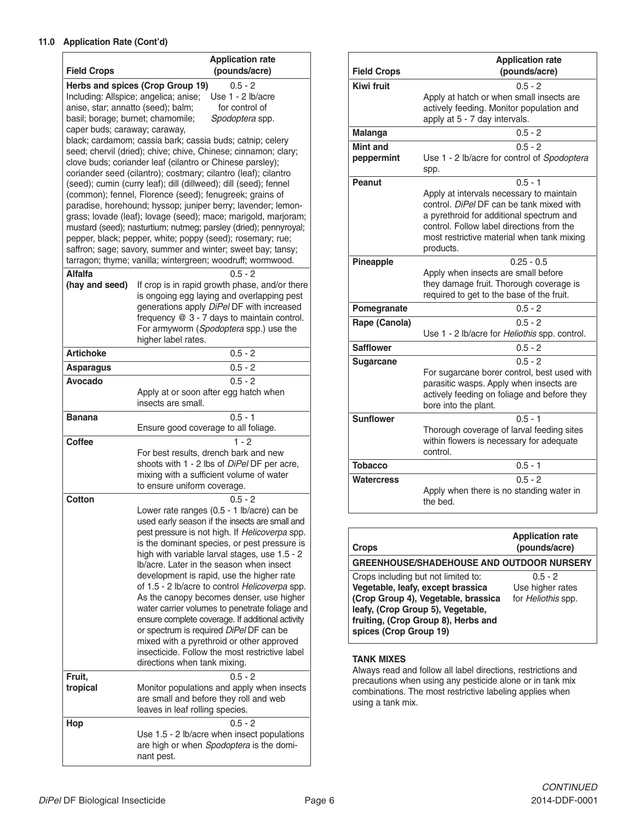#### **11.0 Application Rate (Cont'd)**

|                                                                         | <b>Application rate</b>                                                                                                 |
|-------------------------------------------------------------------------|-------------------------------------------------------------------------------------------------------------------------|
| <b>Field Crops</b>                                                      | (pounds/acre)                                                                                                           |
|                                                                         | Herbs and spices (Crop Group 19)<br>$0.5 - 2$                                                                           |
|                                                                         | Including: Allspice; angelica; anise;<br>Use 1 - 2 lb/acre                                                              |
| anise, star; annatto (seed); balm;<br>basil; borage; burnet; chamomile; | for control of<br>Spodoptera spp.                                                                                       |
| caper buds; caraway; caraway,                                           |                                                                                                                         |
|                                                                         | black; cardamom; cassia bark; cassia buds; catnip; celery                                                               |
|                                                                         | seed; chervil (dried); chive; chive, Chinese; cinnamon; clary;                                                          |
|                                                                         | clove buds; coriander leaf (cilantro or Chinese parsley);                                                               |
|                                                                         | coriander seed (cilantro); costmary; cilantro (leaf); cilantro                                                          |
|                                                                         | (seed); cumin (curry leaf); dill (dillweed); dill (seed); fennel                                                        |
|                                                                         | (common); fennel, Florence (seed); fenugreek; grains of<br>paradise, horehound; hyssop; juniper berry; lavender; lemon- |
|                                                                         | grass; lovade (leaf); lovage (seed); mace; marigold, marjoram;                                                          |
|                                                                         | mustard (seed); nasturtium; nutmeg; parsley (dried); pennyroyal;                                                        |
|                                                                         | pepper, black; pepper, white; poppy (seed); rosemary; rue;                                                              |
|                                                                         | saffron; sage; savory, summer and winter; sweet bay; tansy;                                                             |
|                                                                         | tarragon; thyme; vanilla; wintergreen; woodruff; wormwood.                                                              |
| <b>Alfalfa</b>                                                          | $0.5 - 2$                                                                                                               |
| (hay and seed)                                                          | If crop is in rapid growth phase, and/or there                                                                          |
|                                                                         | is ongoing egg laying and overlapping pest<br>generations apply DiPel DF with increased                                 |
|                                                                         | frequency @ 3 - 7 days to maintain control.                                                                             |
|                                                                         | For armyworm (Spodoptera spp.) use the                                                                                  |
|                                                                         | higher label rates.                                                                                                     |
| <b>Artichoke</b>                                                        | $0.5 - 2$                                                                                                               |
| <b>Asparagus</b>                                                        | $0.5 - 2$                                                                                                               |
| Avocado                                                                 | $0.5 - 2$                                                                                                               |
|                                                                         | Apply at or soon after egg hatch when                                                                                   |
|                                                                         | insects are small.                                                                                                      |
| <b>Banana</b>                                                           | $0.5 - 1$<br>Ensure good coverage to all foliage.                                                                       |
| <b>Coffee</b>                                                           | $1 - 2$                                                                                                                 |
|                                                                         | For best results, drench bark and new                                                                                   |
|                                                                         | shoots with 1 - 2 lbs of DiPel DF per acre,                                                                             |
|                                                                         | mixing with a sufficient volume of water                                                                                |
|                                                                         | to ensure uniform coverage.                                                                                             |
| Cotton                                                                  | $0.5 - 2$                                                                                                               |
|                                                                         | Lower rate ranges (0.5 - 1 lb/acre) can be<br>used early season if the insects are small and                            |
|                                                                         | pest pressure is not high. If Helicoverpa spp.                                                                          |
|                                                                         | is the dominant species, or pest pressure is                                                                            |
|                                                                         | high with variable larval stages, use 1.5 - 2                                                                           |
|                                                                         | Ib/acre. Later in the season when insect                                                                                |
|                                                                         | development is rapid, use the higher rate                                                                               |
|                                                                         | of 1.5 - 2 lb/acre to control Helicoverpa spp.<br>As the canopy becomes denser, use higher                              |
|                                                                         | water carrier volumes to penetrate foliage and                                                                          |
|                                                                         | ensure complete coverage. If additional activity                                                                        |
|                                                                         | or spectrum is required DiPel DF can be                                                                                 |
|                                                                         | mixed with a pyrethroid or other approved                                                                               |
|                                                                         | insecticide. Follow the most restrictive label                                                                          |
|                                                                         | directions when tank mixing.                                                                                            |
| Fruit,                                                                  | $0.5 - 2$                                                                                                               |
| tropical                                                                | Monitor populations and apply when insects<br>are small and before they roll and web                                    |
|                                                                         | leaves in leaf rolling species.                                                                                         |
| Hop                                                                     | $0.5 - 2$                                                                                                               |
|                                                                         | Use 1.5 - 2 lb/acre when insect populations                                                                             |
|                                                                         | are high or when Spodoptera is the domi-                                                                                |
|                                                                         | nant pest.                                                                                                              |

| <b>Field Crops</b>            | <b>Application rate</b><br>(pounds/acre)                                                                                                                                                                                                              |
|-------------------------------|-------------------------------------------------------------------------------------------------------------------------------------------------------------------------------------------------------------------------------------------------------|
| <b>Kiwi fruit</b>             | $0.5 - 2$<br>Apply at hatch or when small insects are<br>actively feeding. Monitor population and<br>apply at 5 - 7 day intervals.                                                                                                                    |
| <b>Malanga</b>                | $0.5 - 2$                                                                                                                                                                                                                                             |
| <b>Mint and</b><br>peppermint | $0.5 - 2$<br>Use 1 - 2 lb/acre for control of Spodoptera<br>spp.                                                                                                                                                                                      |
| Peanut                        | $0.5 - 1$<br>Apply at intervals necessary to maintain<br>control. DiPel DF can be tank mixed with<br>a pyrethroid for additional spectrum and<br>control. Follow label directions from the<br>most restrictive material when tank mixing<br>products. |
| Pineapple                     | $0.25 - 0.5$<br>Apply when insects are small before<br>they damage fruit. Thorough coverage is<br>required to get to the base of the fruit.                                                                                                           |
| Pomegranate                   | $0.5 - 2$                                                                                                                                                                                                                                             |
| Rape (Canola)                 | $0.5 - 2$<br>Use 1 - 2 lb/acre for Heliothis spp. control.                                                                                                                                                                                            |
| <b>Safflower</b>              | $0.5 - 2$                                                                                                                                                                                                                                             |
| <b>Sugarcane</b>              | $0.5 - 2$<br>For sugarcane borer control, best used with<br>parasitic wasps. Apply when insects are<br>actively feeding on foliage and before they<br>bore into the plant.                                                                            |
| <b>Sunflower</b>              | $0.5 - 1$<br>Thorough coverage of larval feeding sites<br>within flowers is necessary for adequate<br>control.                                                                                                                                        |
| <b>Tobacco</b>                | $0.5 - 1$                                                                                                                                                                                                                                             |
| <b>Watercress</b>             | $0.5 - 2$<br>Apply when there is no standing water in<br>the bed.                                                                                                                                                                                     |

| <b>Crops</b>                                                                                                                                                                                                          | <b>Application rate</b><br>(pounds/acre)            |
|-----------------------------------------------------------------------------------------------------------------------------------------------------------------------------------------------------------------------|-----------------------------------------------------|
| <b>GREENHOUSE/SHADEHOUSE AND OUTDOOR NURSERY</b>                                                                                                                                                                      |                                                     |
| Crops including but not limited to:<br>Vegetable, leafy, except brassica<br>(Crop Group 4), Vegetable, brassica<br>leafy, (Crop Group 5), Vegetable,<br>fruiting, (Crop Group 8), Herbs and<br>spices (Crop Group 19) | $0.5 - 2$<br>Use higher rates<br>for Heliothis spp. |

#### **TANK MIXES**

Always read and follow all label directions, restrictions and precautions when using any pesticide alone or in tank mix combinations. The most restrictive labeling applies when using a tank mix.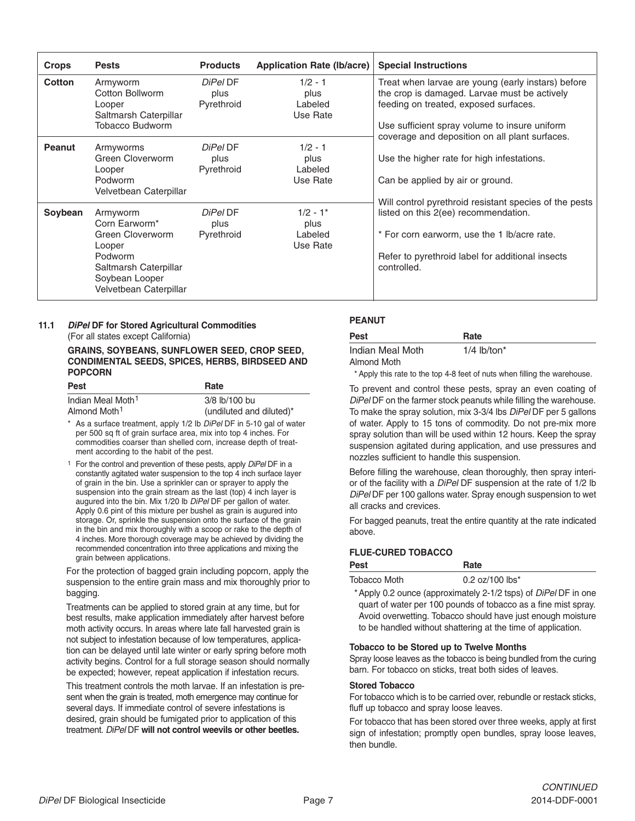| <b>Crops</b> | <b>Pests</b>                                                                                                                            | <b>Products</b>                | <b>Application Rate (Ib/acre)</b>         | <b>Special Instructions</b>                                                                                                                                                                                      |
|--------------|-----------------------------------------------------------------------------------------------------------------------------------------|--------------------------------|-------------------------------------------|------------------------------------------------------------------------------------------------------------------------------------------------------------------------------------------------------------------|
| Cotton       | Armyworm<br>Cotton Bollworm<br>Looper<br>Saltmarsh Caterpillar<br><b>Tobacco Budworm</b>                                                | DiPel DF<br>plus<br>Pyrethroid | $1/2 - 1$<br>plus<br>Labeled<br>Use Rate  | Treat when larvae are young (early instars) before<br>the crop is damaged. Larvae must be actively<br>feeding on treated, exposed surfaces.<br>Use sufficient spray volume to insure uniform                     |
| Peanut       | Armyworms<br>Green Cloverworm<br>Looper<br>Podworm<br>Velvetbean Caterpillar                                                            | DiPel DF<br>plus<br>Pyrethroid | $1/2 - 1$<br>plus<br>Labeled<br>Use Rate  | coverage and deposition on all plant surfaces.<br>Use the higher rate for high infestations.<br>Can be applied by air or ground.                                                                                 |
| Soybean      | Armyworm<br>Corn Earworm*<br>Green Cloverworm<br>Looper<br>Podworm<br>Saltmarsh Caterpillar<br>Soybean Looper<br>Velvetbean Caterpillar | DiPel DF<br>plus<br>Pyrethroid | $1/2 - 1*$<br>plus<br>Labeled<br>Use Rate | Will control pyrethroid resistant species of the pests<br>listed on this 2(ee) recommendation.<br>* For corn earworm, use the 1 lb/acre rate.<br>Refer to pyrethroid label for additional insects<br>controlled. |

# **11.1** *DiPel* **DF for Stored Agricultural Commodities** (For all states except California)

#### **GRAINS, SOYBEANS, SUNFLOWER SEED, CROP SEED, CONDIMENTAL SEEDS, SPICES, HERBS, BIRDSEED AND POPCORN**

| Pest                          | Rate                     |
|-------------------------------|--------------------------|
| Indian Meal Moth <sup>1</sup> | 3/8 lb/100 bu            |
| Almond Moth <sup>1</sup>      | (undiluted and diluted)* |

\* As a surface treatment, apply 1/2 lb *DiPel* DF in 5-10 gal of water per 500 sq ft of grain surface area, mix into top 4 inches. For commodities coarser than shelled corn, increase depth of treatment according to the habit of the pest.

1 For the control and prevention of these pests, apply *DiPel* DF in a constantly agitated water suspension to the top 4 inch surface layer of grain in the bin. Use a sprinkler can or sprayer to apply the suspension into the grain stream as the last (top) 4 inch layer is augured into the bin. Mix 1/20 lb *DiPel* DF per gallon of water. Apply 0.6 pint of this mixture per bushel as grain is augured into storage. Or, sprinkle the suspension onto the surface of the grain in the bin and mix thoroughly with a scoop or rake to the depth of 4 inches. More thorough coverage may be achieved by dividing the recommended concentration into three applications and mixing the grain between applications.

For the protection of bagged grain including popcorn, apply the suspension to the entire grain mass and mix thoroughly prior to bagging.

Treatments can be applied to stored grain at any time, but for best results, make application immediately after harvest before moth activity occurs. In areas where late fall harvested grain is not subject to infestation because of low temperatures, application can be delayed until late winter or early spring before moth activity begins. Control for a full storage season should normally be expected; however, repeat application if infestation recurs.

This treatment controls the moth larvae. If an infestation is present when the grain is treated, moth emergence may continue for several days. If immediate control of severe infestations is desired, grain should be fumigated prior to application of this treatment. *DiPel* DF **will not control weevils or other beetles.**

# **PEANUT**

| <b>Pest</b>      | Rate                      |
|------------------|---------------------------|
| Indian Meal Moth | $1/4$ lb/ton <sup>*</sup> |
| Almond Moth      |                           |

\* Apply this rate to the top 4-8 feet of nuts when filling the warehouse.

To prevent and control these pests, spray an even coating of *DiPel* DF on the farmer stock peanuts while filling the warehouse. To make the spray solution, mix 3-3/4 lbs *DiPel* DF per 5 gallons of water. Apply to 15 tons of commodity. Do not pre-mix more spray solution than will be used within 12 hours. Keep the spray suspension agitated during application, and use pressures and nozzles sufficient to handle this suspension.

Before filling the warehouse, clean thoroughly, then spray interior of the facility with a *DiPel* DF suspension at the rate of 1/2 lb *DiPel* DF per 100 gallons water. Spray enough suspension to wet all cracks and crevices.

For bagged peanuts, treat the entire quantity at the rate indicated above.

# **FLUE-CURED TOBACCO**

| Pest                                                                   | Rate                                                           |  |
|------------------------------------------------------------------------|----------------------------------------------------------------|--|
| Tobacco Moth                                                           | $0.2 \text{ oz}/100 \text{ lbs}^*$                             |  |
| * Apply 0.2 ounce (approximately 2-1/2 tsps) of <i>DiPel</i> DF in one |                                                                |  |
|                                                                        | quart of water per 100 pounds of tobacco as a fine mist spray. |  |

Avoid overwetting. Tobacco should have just enough moisture to be handled without shattering at the time of application.

#### **Tobacco to be Stored up to Twelve Months**

Spray loose leaves as the tobacco is being bundled from the curing barn. For tobacco on sticks, treat both sides of leaves.

#### **Stored Tobacco**

For tobacco which is to be carried over, rebundle or restack sticks, fluff up tobacco and spray loose leaves.

For tobacco that has been stored over three weeks, apply at first sign of infestation; promptly open bundles, spray loose leaves, then bundle.